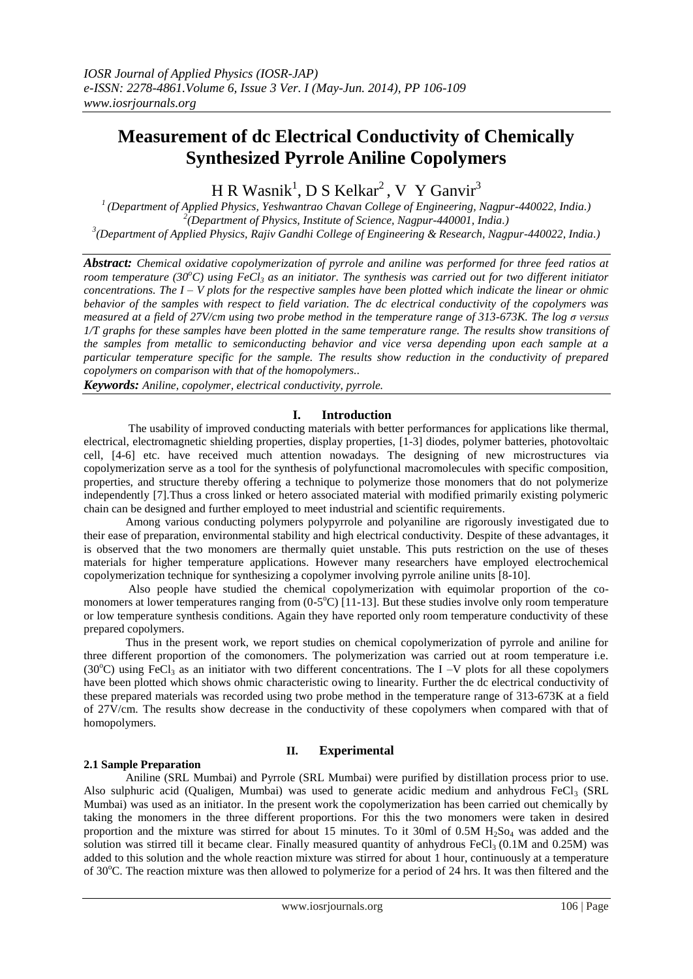# **Measurement of dc Electrical Conductivity of Chemically Synthesized Pyrrole Aniline Copolymers**

 $H R$  Wasnik<sup>1</sup>, D S Kelkar<sup>2</sup>, V Y Ganvir<sup>3</sup>

*1 (Department of Applied Physics, Yeshwantrao Chavan College of Engineering, Nagpur-440022, India.) 2 (Department of Physics, Institute of Science, Nagpur-440001, India.) 3 (Department of Applied Physics, Rajiv Gandhi College of Engineering & Research, Nagpur-440022, India.)*

*Abstract: Chemical oxidative copolymerization of pyrrole and aniline was performed for three feed ratios at room temperature (30<sup>o</sup>C) using FeCl<sup>3</sup> as an initiator. The synthesis was carried out for two different initiator concentrations. The I – V plots for the respective samples have been plotted which indicate the linear or ohmic behavior of the samples with respect to field variation. The dc electrical conductivity of the copolymers was measured at a field of 27V/cm using two probe method in the temperature range of 313-673K. The log σ versus 1/T graphs for these samples have been plotted in the same temperature range. The results show transitions of the samples from metallic to semiconducting behavior and vice versa depending upon each sample at a particular temperature specific for the sample. The results show reduction in the conductivity of prepared copolymers on comparison with that of the homopolymers..*

*Keywords: Aniline, copolymer, electrical conductivity, pyrrole.*

## **I. Introduction**

The usability of improved conducting materials with better performances for applications like thermal, electrical, electromagnetic shielding properties, display properties, [1-3] diodes, polymer batteries, photovoltaic cell, [4-6] etc. have received much attention nowadays. The designing of new microstructures via copolymerization serve as a tool for the synthesis of polyfunctional macromolecules with specific composition, properties, and structure thereby offering a technique to polymerize those monomers that do not polymerize independently [7].Thus a cross linked or hetero associated material with modified primarily existing polymeric chain can be designed and further employed to meet industrial and scientific requirements.

Among various conducting polymers polypyrrole and polyaniline are rigorously investigated due to their ease of preparation, environmental stability and high electrical conductivity. Despite of these advantages, it is observed that the two monomers are thermally quiet unstable. This puts restriction on the use of theses materials for higher temperature applications. However many researchers have employed electrochemical copolymerization technique for synthesizing a copolymer involving pyrrole aniline units [8-10].

Also people have studied the chemical copolymerization with equimolar proportion of the comonomers at lower temperatures ranging from  $(0-5^{\circ}\text{C})$  [11-13]. But these studies involve only room temperature or low temperature synthesis conditions. Again they have reported only room temperature conductivity of these prepared copolymers.

Thus in the present work, we report studies on chemical copolymerization of pyrrole and aniline for three different proportion of the comonomers. The polymerization was carried out at room temperature i.e. (30 $^{\circ}$ C) using FeCl<sub>3</sub> as an initiator with two different concentrations. The I –V plots for all these copolymers have been plotted which shows ohmic characteristic owing to linearity. Further the dc electrical conductivity of these prepared materials was recorded using two probe method in the temperature range of 313-673K at a field of 27V/cm. The results show decrease in the conductivity of these copolymers when compared with that of homopolymers.

#### **II. Experimental**

## **2.1 Sample Preparation**

Aniline (SRL Mumbai) and Pyrrole (SRL Mumbai) were purified by distillation process prior to use. Also sulphuric acid (Qualigen, Mumbai) was used to generate acidic medium and anhydrous FeCl<sub>3</sub> (SRL Mumbai) was used as an initiator. In the present work the copolymerization has been carried out chemically by taking the monomers in the three different proportions. For this the two monomers were taken in desired proportion and the mixture was stirred for about 15 minutes. To it 30ml of 0.5M  $H_2$ So<sub>4</sub> was added and the solution was stirred till it became clear. Finally measured quantity of anhydrous FeCl<sub>3</sub> (0.1M and 0.25M) was added to this solution and the whole reaction mixture was stirred for about 1 hour, continuously at a temperature of 30°C. The reaction mixture was then allowed to polymerize for a period of 24 hrs. It was then filtered and the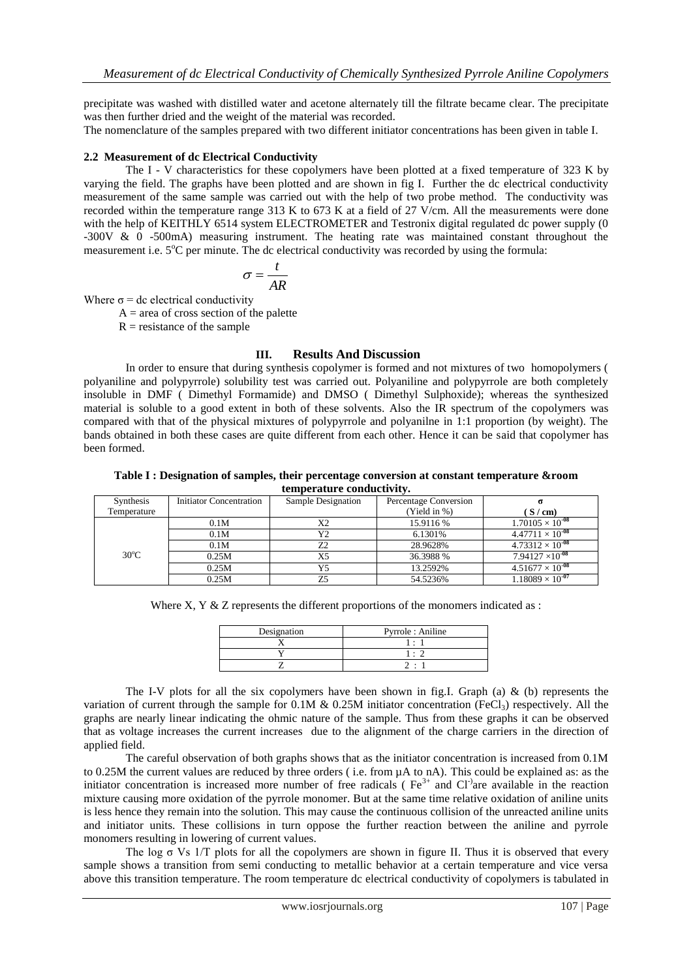precipitate was washed with distilled water and acetone alternately till the filtrate became clear. The precipitate was then further dried and the weight of the material was recorded.

The nomenclature of the samples prepared with two different initiator concentrations has been given in table I.

#### **2.2 Measurement of dc Electrical Conductivity**

The I - V characteristics for these copolymers have been plotted at a fixed temperature of 323 K by varying the field. The graphs have been plotted and are shown in fig I. Further the dc electrical conductivity measurement of the same sample was carried out with the help of two probe method. The conductivity was recorded within the temperature range 313 K to 673 K at a field of 27 V/cm. All the measurements were done with the help of KEITHLY 6514 system ELECTROMETER and Testronix digital regulated dc power supply (0 -300V & 0 -500mA) measuring instrument. The heating rate was maintained constant throughout the measurement i.e.  $5^{\circ}$ C per minute. The dc electrical conductivity was recorded by using the formula:

$$
\sigma = \frac{t}{AR}
$$

Where  $\sigma$  = dc electrical conductivity

 $A =$  area of cross section of the palette

 $R =$  resistance of the sample

# **III. Results And Discussion**

In order to ensure that during synthesis copolymer is formed and not mixtures of two homopolymers ( polyaniline and polypyrrole) solubility test was carried out. Polyaniline and polypyrrole are both completely insoluble in DMF ( Dimethyl Formamide) and DMSO ( Dimethyl Sulphoxide); whereas the synthesized material is soluble to a good extent in both of these solvents. Also the IR spectrum of the copolymers was compared with that of the physical mixtures of polypyrrole and polyanilne in 1:1 proportion (by weight). The bands obtained in both these cases are quite different from each other. Hence it can be said that copolymer has been formed.

| Table I : Designation of samples, their percentage conversion at constant temperature & room |  |  |
|----------------------------------------------------------------------------------------------|--|--|
| temperature conductivity.                                                                    |  |  |

| Synthesis      | <b>Initiator Concentration</b> | Sample Designation | Percentage Conversion |                           |
|----------------|--------------------------------|--------------------|-----------------------|---------------------------|
| Temperature    |                                |                    | (Yield in %)          | S/cm                      |
| $30^{\circ}$ C | 0.1M                           | X2                 | 15.9116 %             | $1.70105 \times 10^{-08}$ |
|                | 0.1M                           | Y2                 | 6.1301%               | $4.47711 \times 10^{-08}$ |
|                | 0.1M                           | Z2                 | 28.9628%              | $4.73312 \times 10^{-08}$ |
|                | 0.25M                          | X5                 | 36.3988 %             | $7.94127 \times 10^{-08}$ |
|                | 0.25M                          | Y5                 | 13.2592%              | $4.51677 \times 10^{-08}$ |
|                | 0.25M                          | 75                 | 54.5236%              | $1.18089 \times 10^{-07}$ |

Where X, Y  $\&$  Z represents the different proportions of the monomers indicated as :

| Designation | Pyrrole: Aniline |  |
|-------------|------------------|--|
|             |                  |  |
|             | $\bullet$        |  |
|             |                  |  |

The I-V plots for all the six copolymers have been shown in fig.I. Graph (a)  $\&$  (b) represents the variation of current through the sample for 0.1M  $& 0.25M$  initiator concentration (FeCl<sub>3</sub>) respectively. All the graphs are nearly linear indicating the ohmic nature of the sample. Thus from these graphs it can be observed that as voltage increases the current increases due to the alignment of the charge carriers in the direction of applied field.

The careful observation of both graphs shows that as the initiator concentration is increased from 0.1M to 0.25M the current values are reduced by three orders ( i.e. from µA to nA). This could be explained as: as the initiator concentration is increased more number of free radicals ( $Fe<sup>3+</sup>$  and Cl<sup>-)</sup>are available in the reaction mixture causing more oxidation of the pyrrole monomer. But at the same time relative oxidation of aniline units is less hence they remain into the solution. This may cause the continuous collision of the unreacted aniline units and initiator units. These collisions in turn oppose the further reaction between the aniline and pyrrole monomers resulting in lowering of current values.

The log  $\sigma$  Vs 1/T plots for all the copolymers are shown in figure II. Thus it is observed that every sample shows a transition from semi conducting to metallic behavior at a certain temperature and vice versa above this transition temperature. The room temperature dc electrical conductivity of copolymers is tabulated in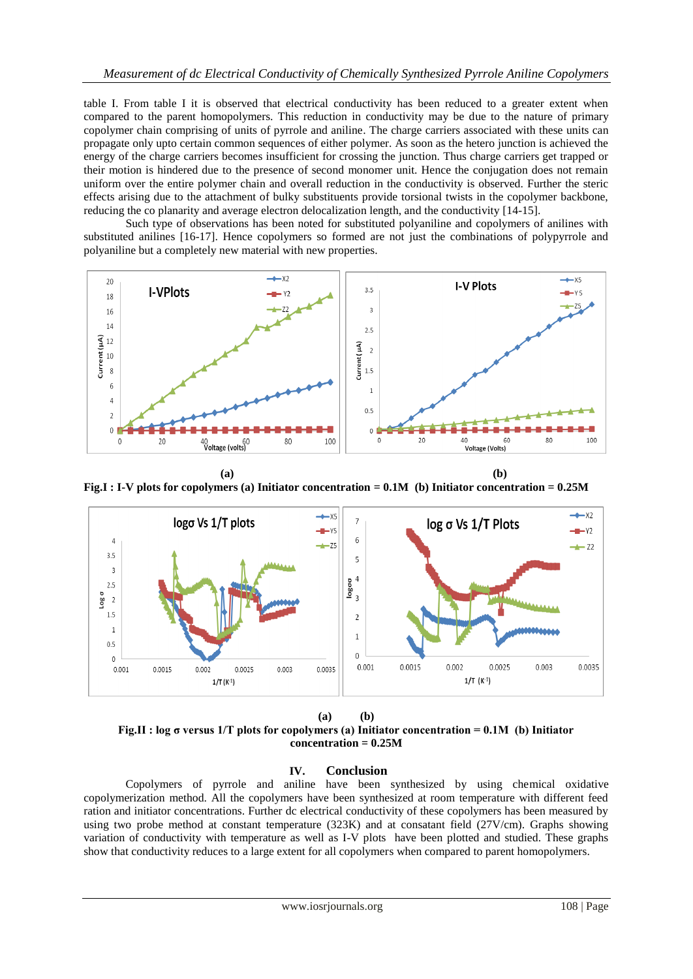table I. From table I it is observed that electrical conductivity has been reduced to a greater extent when compared to the parent homopolymers. This reduction in conductivity may be due to the nature of primary copolymer chain comprising of units of pyrrole and aniline. The charge carriers associated with these units can propagate only upto certain common sequences of either polymer. As soon as the hetero junction is achieved the energy of the charge carriers becomes insufficient for crossing the junction. Thus charge carriers get trapped or their motion is hindered due to the presence of second monomer unit. Hence the conjugation does not remain uniform over the entire polymer chain and overall reduction in the conductivity is observed. Further the steric effects arising due to the attachment of bulky substituents provide torsional twists in the copolymer backbone, reducing the co planarity and average electron delocalization length, and the conductivity [14-15].

Such type of observations has been noted for substituted polyaniline and copolymers of anilines with substituted anilines [16-17]. Hence copolymers so formed are not just the combinations of polypyrrole and polyaniline but a completely new material with new properties.



 **(a) (b) Fig.I : I-V plots for copolymers (a) Initiator concentration = 0.1M (b) Initiator concentration = 0.25M** 



**(a) (b) Fig.II : log σ versus 1/T plots for copolymers (a) Initiator concentration = 0.1M (b) Initiator concentration = 0.25M**

# **IV. Conclusion**

Copolymers of pyrrole and aniline have been synthesized by using chemical oxidative copolymerization method. All the copolymers have been synthesized at room temperature with different feed ration and initiator concentrations. Further dc electrical conductivity of these copolymers has been measured by using two probe method at constant temperature (323K) and at consatant field (27V/cm). Graphs showing variation of conductivity with temperature as well as I-V plots have been plotted and studied. These graphs show that conductivity reduces to a large extent for all copolymers when compared to parent homopolymers.